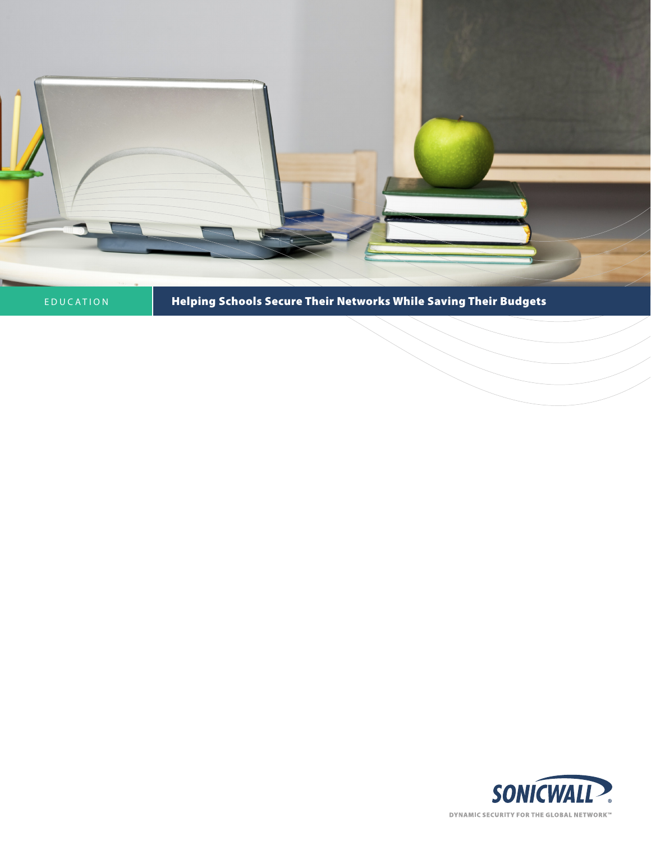

# EDUCATION **Helping Schools Secure Their Networks While Saving Their Budgets**

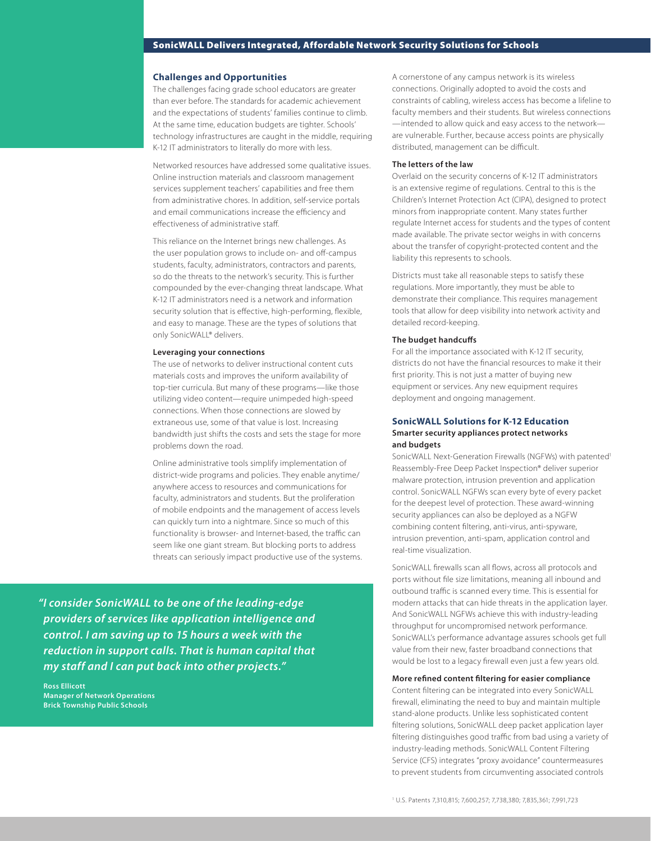# SonicWALL Delivers Integrated, Affordable Network Security Solutions for Schools

## **Challenges and Opportunities**

The challenges facing grade school educators are greater than ever before. The standards for academic achievement and the expectations of students' families continue to climb. At the same time, education budgets are tighter. Schools' technology infrastructures are caught in the middle, requiring K-12 IT administrators to literally do more with less.

Networked resources have addressed some qualitative issues. Online instruction materials and classroom management services supplement teachers' capabilities and free them from administrative chores. In addition, self-service portals and email communications increase the efficiency and effectiveness of administrative staff.

This reliance on the Internet brings new challenges. As the user population grows to include on- and off-campus students, faculty, administrators, contractors and parents, so do the threats to the network's security. This is further compounded by the ever-changing threat landscape. What K-12 IT administrators need is a network and information security solution that is effective, high-performing, flexible, and easy to manage. These are the types of solutions that only SonicWALL® delivers.

#### **Leveraging your connections**

The use of networks to deliver instructional content cuts materials costs and improves the uniform availability of top-tier curricula. But many of these programs—like those utilizing video content—require unimpeded high-speed connections. When those connections are slowed by extraneous use, some of that value is lost. Increasing bandwidth just shifts the costs and sets the stage for more problems down the road.

Online administrative tools simplify implementation of district-wide programs and policies. They enable anytime/ anywhere access to resources and communications for faculty, administrators and students. But the proliferation of mobile endpoints and the management of access levels can quickly turn into a nightmare. Since so much of this functionality is browser- and Internet-based, the traffic can seem like one giant stream. But blocking ports to address threats can seriously impact productive use of the systems.

*"I consider SonicWALL to be one of the leading-edge providers of services like application intelligence and control. I am saving up to 15 hours a week with the reduction in support calls. That is human capital that my staff and I can put back into other projects."*

**Ross Ellicott Manager of Network Operations Brick Township Public Schools**

A cornerstone of any campus network is its wireless connections. Originally adopted to avoid the costs and constraints of cabling, wireless access has become a lifeline to faculty members and their students. But wireless connections —intended to allow quick and easy access to the network are vulnerable. Further, because access points are physically distributed, management can be difficult.

## **The letters of the law**

Overlaid on the security concerns of K-12 IT administrators is an extensive regime of regulations. Central to this is the Children's Internet Protection Act (CIPA), designed to protect minors from inappropriate content. Many states further regulate Internet access for students and the types of content made available. The private sector weighs in with concerns about the transfer of copyright-protected content and the liability this represents to schools.

Districts must take all reasonable steps to satisfy these regulations. More importantly, they must be able to demonstrate their compliance. This requires management tools that allow for deep visibility into network activity and detailed record-keeping.

## **The budget handcuffs**

For all the importance associated with K-12 IT security, districts do not have the financial resources to make it their first priority. This is not just a matter of buying new equipment or services. Any new equipment requires deployment and ongoing management.

# **SonicWALL Solutions for K-12 Education Smarter security appliances protect networks and budgets**

SonicWALL Next-Generation Firewalls (NGFWs) with patented<sup>1</sup> Reassembly-Free Deep Packet Inspection® deliver superior malware protection, intrusion prevention and application control. SonicWALL NGFWs scan every byte of every packet for the deepest level of protection. These award-winning security appliances can also be deployed as a NGFW combining content filtering, anti-virus, anti-spyware, intrusion prevention, anti-spam, application control and real-time visualization.

SonicWALL firewalls scan all flows, across all protocols and ports without file size limitations, meaning all inbound and outbound traffic is scanned every time. This is essential for modern attacks that can hide threats in the application layer. And SonicWALL NGFWs achieve this with industry-leading throughput for uncompromised network performance. SonicWALL's performance advantage assures schools get full value from their new, faster broadband connections that would be lost to a legacy firewall even just a few years old.

## **More refined content filtering for easier compliance**

Content filtering can be integrated into every SonicWALL firewall, eliminating the need to buy and maintain multiple stand-alone products. Unlike less sophisticated content filtering solutions, SonicWALL deep packet application layer filtering distinguishes good traffic from bad using a variety of industry-leading methods. SonicWALL Content Filtering Service (CFS) integrates "proxy avoidance" countermeasures to prevent students from circumventing associated controls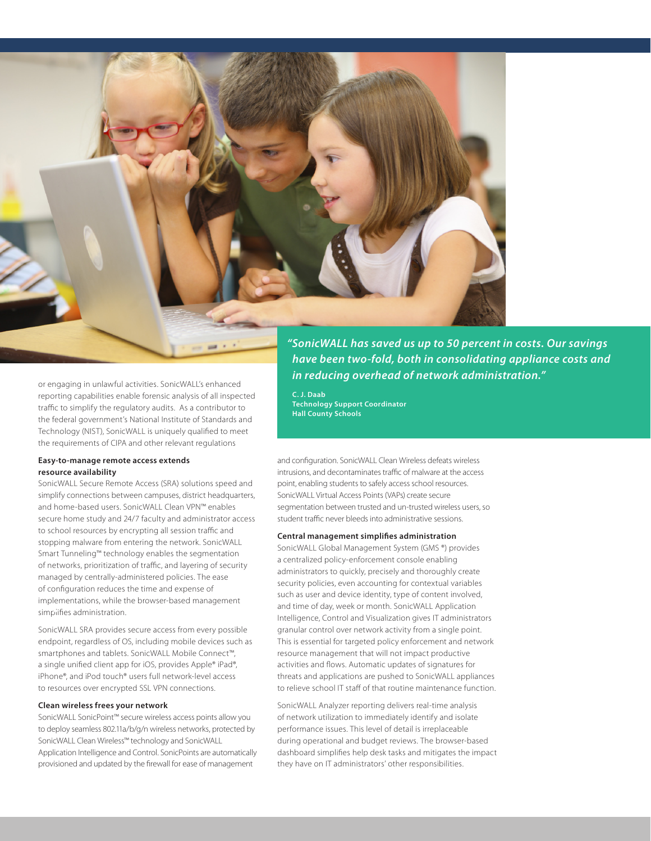

or engaging in unlawful activities. SonicWALL's enhanced reporting capabilities enable forensic analysis of all inspected traffic to simplify the regulatory audits. As a contributor to the federal government's National Institute of Standards and Technology (NIST), SonicWALL is uniquely qualified to meet the requirements of CIPA and other relevant regulations

## **Easy-to-manage remote access extends resource availability**

SonicWALL Secure Remote Access (SRA) solutions speed and simplify connections between campuses, district headquarters, and home-based users. SonicWALL Clean VPN™ enables secure home study and 24/7 faculty and administrator access to school resources by encrypting all session traffic and stopping malware from entering the network. SonicWALL Smart Tunneling™ technology enables the segmentation of networks, prioritization of traffic, and layering of security managed by centrally-administered policies. The ease of configuration reduces the time and expense of implementations, while the browser-based management simplifies administration.

SonicWALL SRA provides secure access from every possible endpoint, regardless of OS, including mobile devices such as smartphones and tablets. SonicWALL Mobile Connect™, a single unified client app for iOS, provides Apple® iPad®, iPhone®, and iPod touch® users full network-level access to resources over encrypted SSL VPN connections.

## **Clean wireless frees your network**

SonicWALL SonicPoint™ secure wireless access points allow you to deploy seamless 802.11a/b/g/n wireless networks, protected by SonicWALL Clean Wireless™ technology and SonicWALL Application Intelligence and Control. SonicPoints are automatically provisioned and updated by the firewall for ease of management

*"SonicWALL has saved us up to 50 percent in costs. Our savings have been two-fold, both in consolidating appliance costs and in reducing overhead of network administration."*

**C. J. Daab Technology Support Coordinator Hall County Schools**

and configuration. SonicWALL Clean Wireless defeats wireless intrusions, and decontaminates traffic of malware at the access point, enabling students to safely access school resources. SonicWALL Virtual Access Points (VAPs) create secure segmentation between trusted and un-trusted wireless users, so student traffic never bleeds into administrative sessions.

## **Central management simplifies administration**

SonicWALL Global Management System (GMS ®) provides a centralized policy-enforcement console enabling administrators to quickly, precisely and thoroughly create security policies, even accounting for contextual variables such as user and device identity, type of content involved, and time of day, week or month. SonicWALL Application Intelligence, Control and Visualization gives IT administrators granular control over network activity from a single point. This is essential for targeted policy enforcement and network resource management that will not impact productive activities and flows. Automatic updates of signatures for threats and applications are pushed to SonicWALL appliances to relieve school IT staff of that routine maintenance function.

SonicWALL Analyzer reporting delivers real-time analysis of network utilization to immediately identify and isolate performance issues. This level of detail is irreplaceable during operational and budget reviews. The browser-based dashboard simplifies help desk tasks and mitigates the impact they have on IT administrators' other responsibilities.